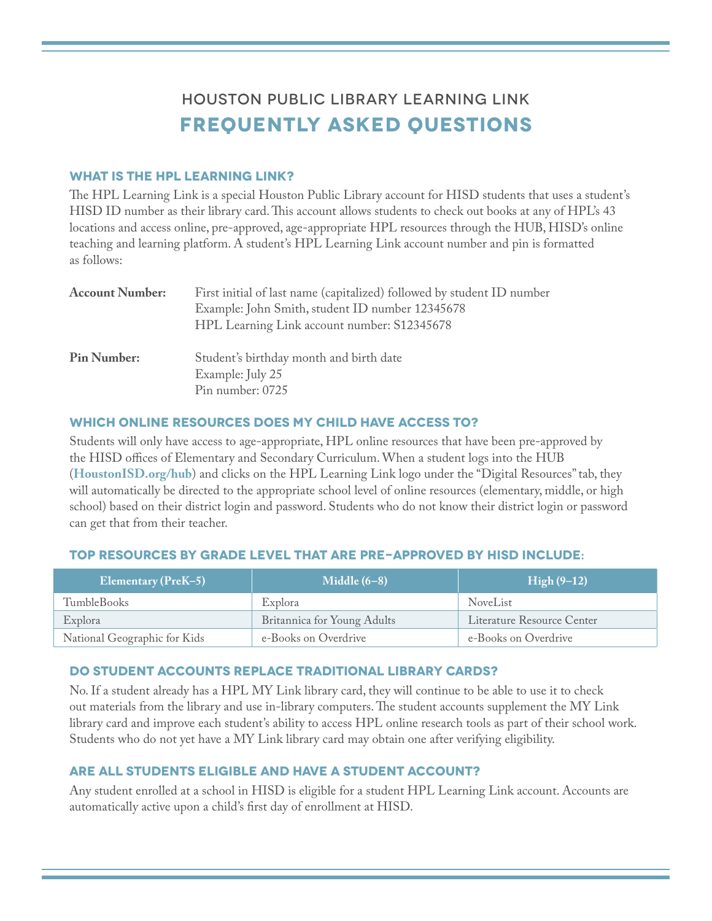# Houston Public Library Learning Link **Frequently Asked Questions**

## **What is the HPL Learning Link?**

The HPL Learning Link is a special Houston Public Library account for HISD students that uses a student's HISD ID number as their library card. This account allows students to check out books at any of HPL's 43 locations and access online, pre-approved, age-appropriate HPL resources through the HUB, HISD's online teaching and learning platform. A student's HPL Learning Link account number and pin is formatted as follows:

| <b>Account Number:</b> | First initial of last name (capitalized) followed by student ID number<br>Example: John Smith, student ID number 12345678<br>HPL Learning Link account number: S12345678 |
|------------------------|--------------------------------------------------------------------------------------------------------------------------------------------------------------------------|
| <b>Pin Number:</b>     | Student's birthday month and birth date<br>Example: July 25<br>Pin number: 0725                                                                                          |

## **Which online resources does my child have access to?**

Students will only have access to age-appropriate, HPL online resources that have been pre-approved by the HISD offices of Elementary and Secondary Curriculum. When a student logs into the HUB (**HoustonISD.org/hub**) and clicks on the HPL Learning Link logo under the "Digital Resources" tab, they will automatically be directed to the appropriate school level of online resources (elementary, middle, or high school) based on their district login and password. Students who do not know their district login or password can get that from their teacher.

## **Top Resources by grade level that are pre-approved by HISD include:**

| <b>Elementary (PreK-5)</b>   | Middle $(6-8)$              | High (9–12)                |
|------------------------------|-----------------------------|----------------------------|
| TumbleBooks                  | Explora                     | <b>NoveList</b>            |
| Explora                      | Britannica for Young Adults | Literature Resource Center |
| National Geographic for Kids | e-Books on Overdrive        | e-Books on Overdrive       |

## **Do student accounts replace traditional library cards?**

No. If a student already has a HPL MY Link library card, they will continue to be able to use it to check out materials from the library and use in-library computers. The student accounts supplement the MY Link library card and improve each student's ability to access HPL online research tools as part of their school work. Students who do not yet have a MY Link library card may obtain one after verifying eligibility.

## **Are all students eligible and have a student account?**

Any student enrolled at a school in HISD is eligible for a student HPL Learning Link account. Accounts are automatically active upon a child's first day of enrollment at HISD.